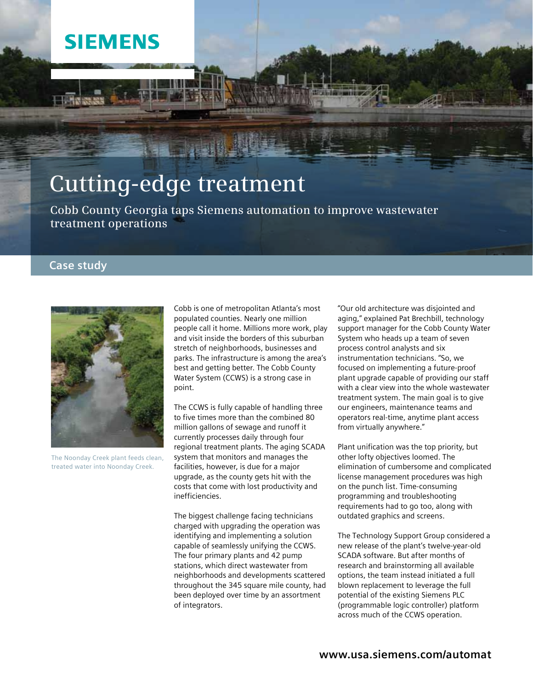## **SIEMENS**

# **Cutting-edge treatment**

**Cobb County Georgia taps Siemens automation to improve wastewater treatment operations**

### **Case study**



The Noonday Creek plant feeds clean, treated water into Noonday Creek.

Cobb is one of metropolitan Atlanta's most populated counties. Nearly one million people call it home. Millions more work, play and visit inside the borders of this suburban stretch of neighborhoods, businesses and parks. The infrastructure is among the area's best and getting better. The Cobb County Water System (CCWS) is a strong case in point.

The CCWS is fully capable of handling three to five times more than the combined 80 million gallons of sewage and runoff it currently processes daily through four regional treatment plants. The aging SCADA system that monitors and manages the facilities, however, is due for a major upgrade, as the county gets hit with the costs that come with lost productivity and inefficiencies.

The biggest challenge facing technicians charged with upgrading the operation was identifying and implementing a solution capable of seamlessly unifying the CCWS. The four primary plants and 42 pump stations, which direct wastewater from neighborhoods and developments scattered throughout the 345 square mile county, had been deployed over time by an assortment of integrators.

"Our old architecture was disjointed and aging," explained Pat Brechbill, technology support manager for the Cobb County Water System who heads up a team of seven process control analysts and six instrumentation technicians. "So, we focused on implementing a future-proof plant upgrade capable of providing our staff with a clear view into the whole wastewater treatment system. The main goal is to give our engineers, maintenance teams and operators real-time, anytime plant access from virtually anywhere."

Plant unification was the top priority, but other lofty objectives loomed. The elimination of cumbersome and complicated license management procedures was high on the punch list. Time-consuming programming and troubleshooting requirements had to go too, along with outdated graphics and screens.

The Technology Support Group considered a new release of the plant's twelve-year-old SCADA software. But after months of research and brainstorming all available options, the team instead initiated a full blown replacement to leverage the full potential of the existing Siemens PLC (programmable logic controller) platform across much of the CCWS operation.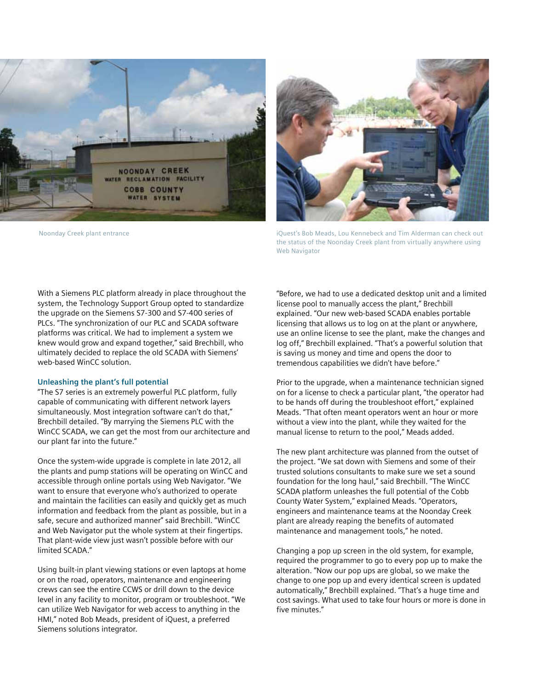



Noonday Creek plant entrance in the interval of the iQuest's Bob Meads, Lou Kennebeck and Tim Alderman can check out the status of the Noonday Creek plant from virtually anywhere using Web Navigator

With a Siemens PLC platform already in place throughout the system, the Technology Support Group opted to standardize the upgrade on the Siemens S7-300 and S7-400 series of PLCs. "The synchronization of our PLC and SCADA software platforms was critical. We had to implement a system we knew would grow and expand together," said Brechbill, who ultimately decided to replace the old SCADA with Siemens' web-based WinCC solution.

#### **Unleashing the plant's full potential**

"The S7 series is an extremely powerful PLC platform, fully capable of communicating with different network layers simultaneously. Most integration software can't do that," Brechbill detailed. "By marrying the Siemens PLC with the WinCC SCADA, we can get the most from our architecture and our plant far into the future."

Once the system-wide upgrade is complete in late 2012, all the plants and pump stations will be operating on WinCC and accessible through online portals using Web Navigator. "We want to ensure that everyone who's authorized to operate and maintain the facilities can easily and quickly get as much information and feedback from the plant as possible, but in a safe, secure and authorized manner" said Brechbill. "WinCC and Web Navigator put the whole system at their fingertips. That plant-wide view just wasn't possible before with our limited SCADA."

Using built-in plant viewing stations or even laptops at home or on the road, operators, maintenance and engineering crews can see the entire CCWS or drill down to the device level in any facility to monitor, program or troubleshoot. "We can utilize Web Navigator for web access to anything in the HMI," noted Bob Meads, president of iQuest, a preferred Siemens solutions integrator.

"Before, we had to use a dedicated desktop unit and a limited license pool to manually access the plant," Brechbill explained. "Our new web-based SCADA enables portable licensing that allows us to log on at the plant or anywhere, use an online license to see the plant, make the changes and log off," Brechbill explained. "That's a powerful solution that is saving us money and time and opens the door to tremendous capabilities we didn't have before."

Prior to the upgrade, when a maintenance technician signed on for a license to check a particular plant, "the operator had to be hands off during the troubleshoot effort," explained Meads. "That often meant operators went an hour or more without a view into the plant, while they waited for the manual license to return to the pool," Meads added.

The new plant architecture was planned from the outset of the project. "We sat down with Siemens and some of their trusted solutions consultants to make sure we set a sound foundation for the long haul," said Brechbill. "The WinCC SCADA platform unleashes the full potential of the Cobb County Water System," explained Meads. "Operators, engineers and maintenance teams at the Noonday Creek plant are already reaping the benefits of automated maintenance and management tools," he noted.

Changing a pop up screen in the old system, for example, required the programmer to go to every pop up to make the alteration. "Now our pop ups are global, so we make the change to one pop up and every identical screen is updated automatically," Brechbill explained. "That's a huge time and cost savings. What used to take four hours or more is done in five minutes."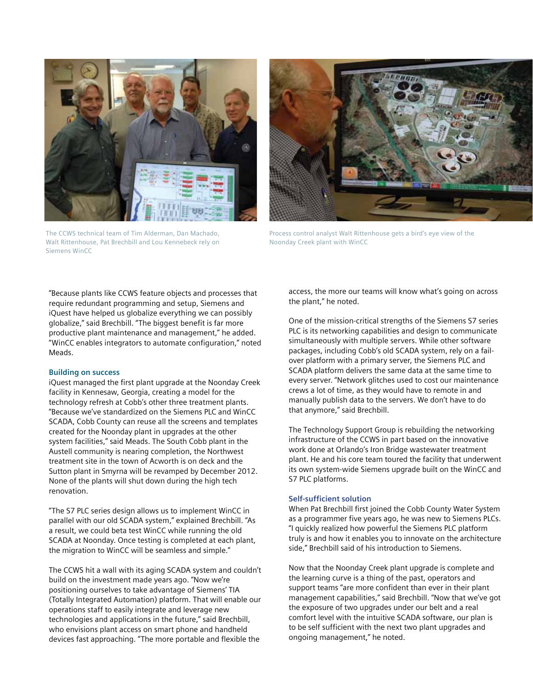

The CCWS technical team of Tim Alderman, Dan Machado, Walt Rittenhouse, Pat Brechbill and Lou Kennebeck rely on Siemens WinCC



Process control analyst Walt Rittenhouse gets a bird's eye view of the Noonday Creek plant with WinCC

"Because plants like CCWS feature objects and processes that require redundant programming and setup, Siemens and iQuest have helped us globalize everything we can possibly globalize," said Brechbill. "The biggest benefit is far more productive plant maintenance and management," he added. "WinCC enables integrators to automate configuration," noted Meads.

#### **Building on success**

iQuest managed the first plant upgrade at the Noonday Creek facility in Kennesaw, Georgia, creating a model for the technology refresh at Cobb's other three treatment plants. "Because we've standardized on the Siemens PLC and WinCC SCADA, Cobb County can reuse all the screens and templates created for the Noonday plant in upgrades at the other system facilities," said Meads. The South Cobb plant in the Austell community is nearing completion, the Northwest treatment site in the town of Acworth is on deck and the Sutton plant in Smyrna will be revamped by December 2012. None of the plants will shut down during the high tech renovation.

"The S7 PLC series design allows us to implement WinCC in parallel with our old SCADA system," explained Brechbill. "As a result, we could beta test WinCC while running the old SCADA at Noonday. Once testing is completed at each plant, the migration to WinCC will be seamless and simple."

The CCWS hit a wall with its aging SCADA system and couldn't build on the investment made years ago. "Now we're positioning ourselves to take advantage of Siemens' TIA (Totally Integrated Automation) platform. That will enable our operations staff to easily integrate and leverage new technologies and applications in the future," said Brechbill, who envisions plant access on smart phone and handheld devices fast approaching. "The more portable and flexible the

access, the more our teams will know what's going on across the plant," he noted.

One of the mission-critical strengths of the Siemens S7 series PLC is its networking capabilities and design to communicate simultaneously with multiple servers. While other software packages, including Cobb's old SCADA system, rely on a failover platform with a primary server, the Siemens PLC and SCADA platform delivers the same data at the same time to every server. "Network glitches used to cost our maintenance crews a lot of time, as they would have to remote in and manually publish data to the servers. We don't have to do that anymore," said Brechbill.

The Technology Support Group is rebuilding the networking infrastructure of the CCWS in part based on the innovative work done at Orlando's Iron Bridge wastewater treatment plant. He and his core team toured the facility that underwent its own system-wide Siemens upgrade built on the WinCC and S7 PLC platforms.

#### **Self-sufficient solution**

When Pat Brechbill first joined the Cobb County Water System as a programmer five years ago, he was new to Siemens PLCs. "I quickly realized how powerful the Siemens PLC platform truly is and how it enables you to innovate on the architecture side," Brechbill said of his introduction to Siemens.

Now that the Noonday Creek plant upgrade is complete and the learning curve is a thing of the past, operators and support teams "are more confident than ever in their plant management capabilities," said Brechbill. "Now that we've got the exposure of two upgrades under our belt and a real comfort level with the intuitive SCADA software, our plan is to be self sufficient with the next two plant upgrades and ongoing management," he noted.